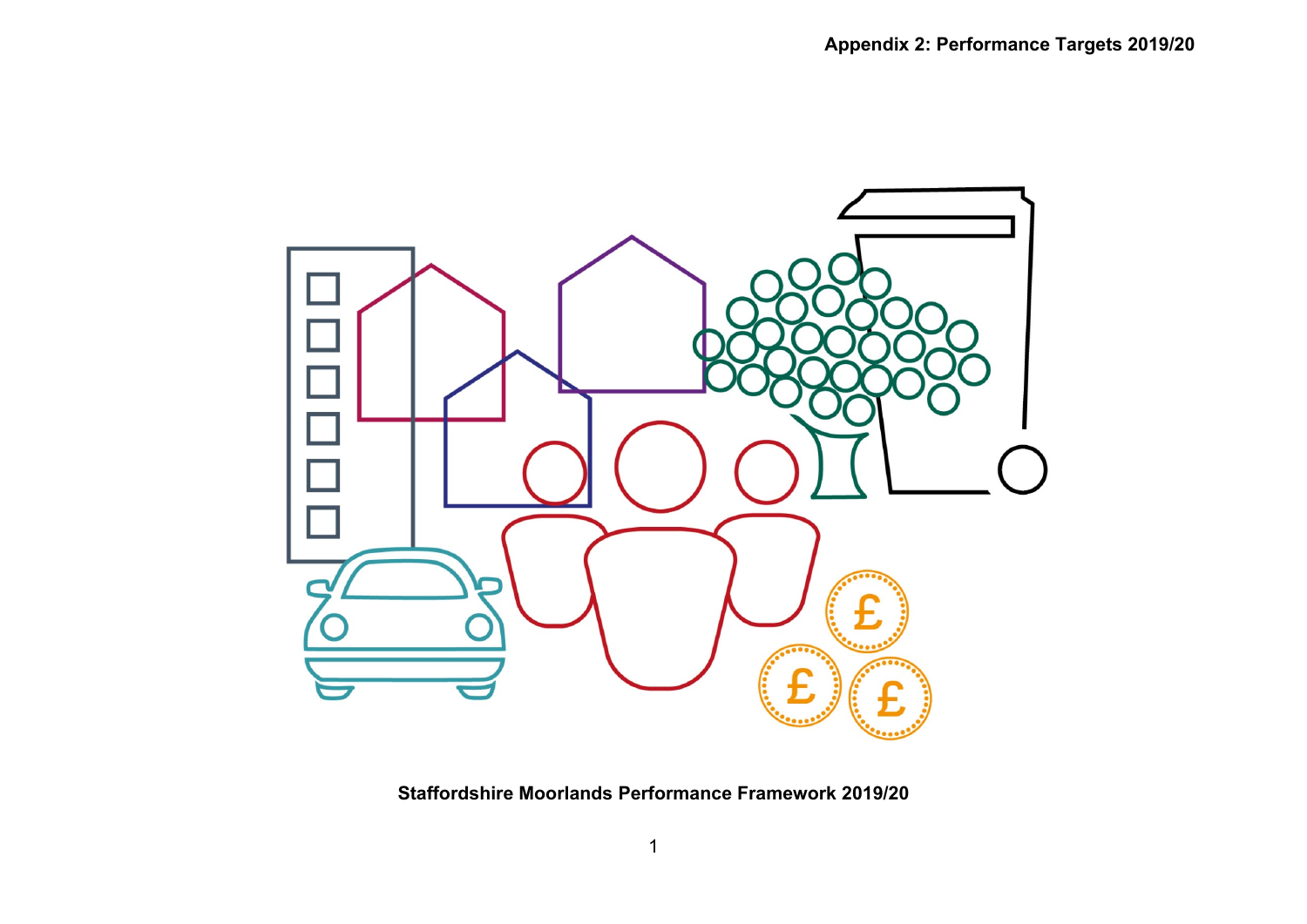

**Staffordshire Moorlands Performance Framework 2019/20**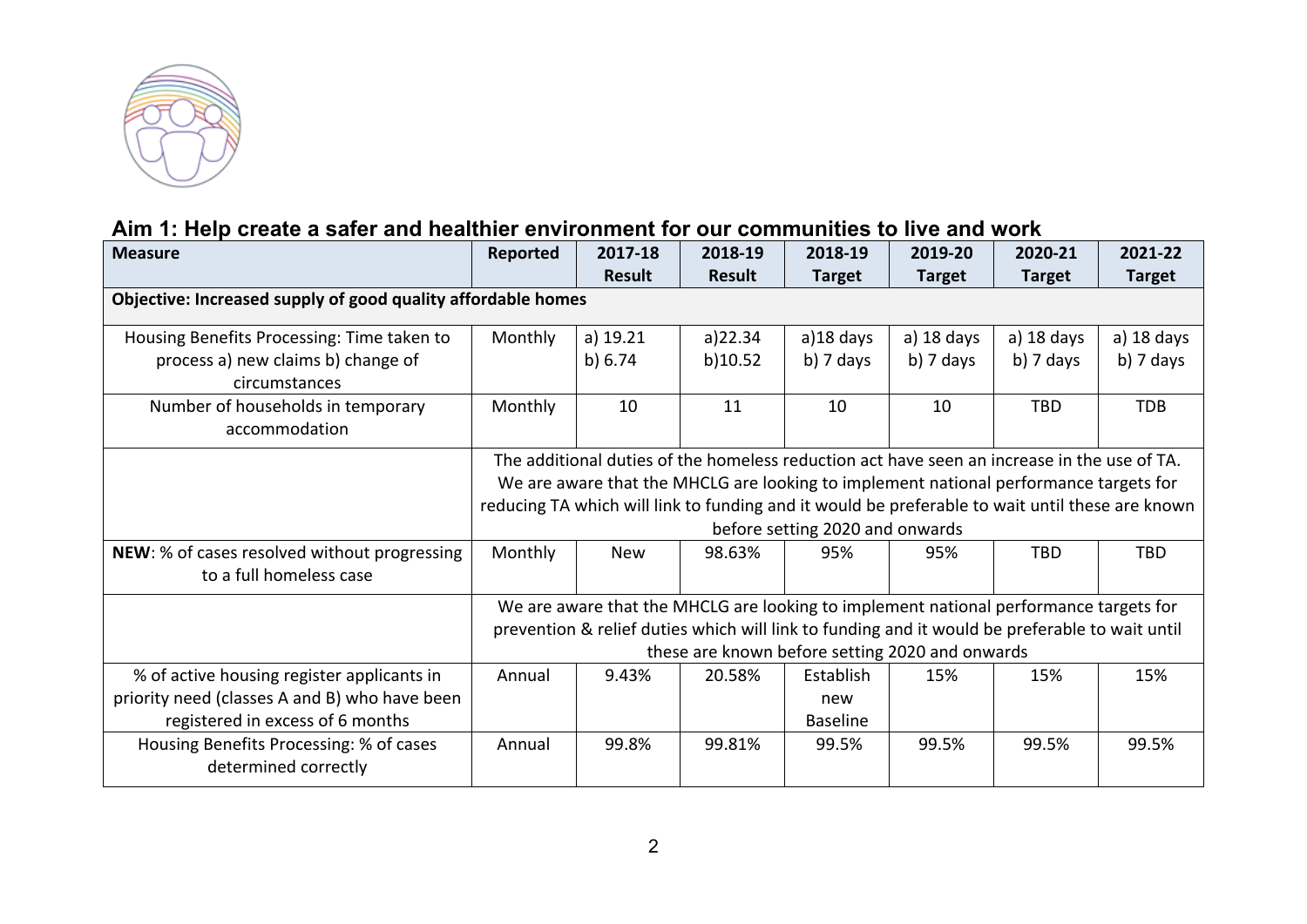

### **Aim 1: Help create a safer and healthier environment for our communities to live and work**

| <b>Measure</b>                                                          | Reported                                                                                        | 2017-18                                                                                        | 2018-19                                         | 2018-19                         | 2019-20       | 2020-21       | 2021-22       |  |
|-------------------------------------------------------------------------|-------------------------------------------------------------------------------------------------|------------------------------------------------------------------------------------------------|-------------------------------------------------|---------------------------------|---------------|---------------|---------------|--|
|                                                                         |                                                                                                 | <b>Result</b>                                                                                  | <b>Result</b>                                   | <b>Target</b>                   | <b>Target</b> | <b>Target</b> | <b>Target</b> |  |
| Objective: Increased supply of good quality affordable homes            |                                                                                                 |                                                                                                |                                                 |                                 |               |               |               |  |
| Housing Benefits Processing: Time taken to                              | Monthly                                                                                         | $a)$ 19.21                                                                                     | a)22.34                                         | a)18 days                       | a) $18$ days  | a) $18$ days  | a) 18 days    |  |
| process a) new claims b) change of<br>circumstances                     |                                                                                                 | b) 6.74                                                                                        | b)10.52                                         | $b)$ 7 days                     | b) 7 days     | b) $7$ days   | b) 7 days     |  |
| Number of households in temporary<br>accommodation                      | Monthly                                                                                         | 10                                                                                             | 11                                              | 10                              | 10            | <b>TBD</b>    | <b>TDB</b>    |  |
|                                                                         |                                                                                                 | The additional duties of the homeless reduction act have seen an increase in the use of TA.    |                                                 |                                 |               |               |               |  |
|                                                                         |                                                                                                 | We are aware that the MHCLG are looking to implement national performance targets for          |                                                 |                                 |               |               |               |  |
|                                                                         | reducing TA which will link to funding and it would be preferable to wait until these are known |                                                                                                |                                                 |                                 |               |               |               |  |
|                                                                         |                                                                                                 |                                                                                                |                                                 | before setting 2020 and onwards |               |               |               |  |
| NEW: % of cases resolved without progressing<br>to a full homeless case | Monthly                                                                                         | <b>New</b>                                                                                     | 98.63%                                          | 95%                             | 95%           | <b>TBD</b>    | <b>TBD</b>    |  |
|                                                                         |                                                                                                 | We are aware that the MHCLG are looking to implement national performance targets for          |                                                 |                                 |               |               |               |  |
|                                                                         |                                                                                                 | prevention & relief duties which will link to funding and it would be preferable to wait until |                                                 |                                 |               |               |               |  |
|                                                                         |                                                                                                 |                                                                                                | these are known before setting 2020 and onwards |                                 |               |               |               |  |
| % of active housing register applicants in                              | Annual                                                                                          | 9.43%                                                                                          | 20.58%                                          | Establish                       | 15%           | 15%           | 15%           |  |
| priority need (classes A and B) who have been                           |                                                                                                 |                                                                                                |                                                 | new                             |               |               |               |  |
| registered in excess of 6 months                                        |                                                                                                 |                                                                                                |                                                 | <b>Baseline</b>                 |               |               |               |  |
| Housing Benefits Processing: % of cases<br>determined correctly         | Annual                                                                                          | 99.8%                                                                                          | 99.81%                                          | 99.5%                           | 99.5%         | 99.5%         | 99.5%         |  |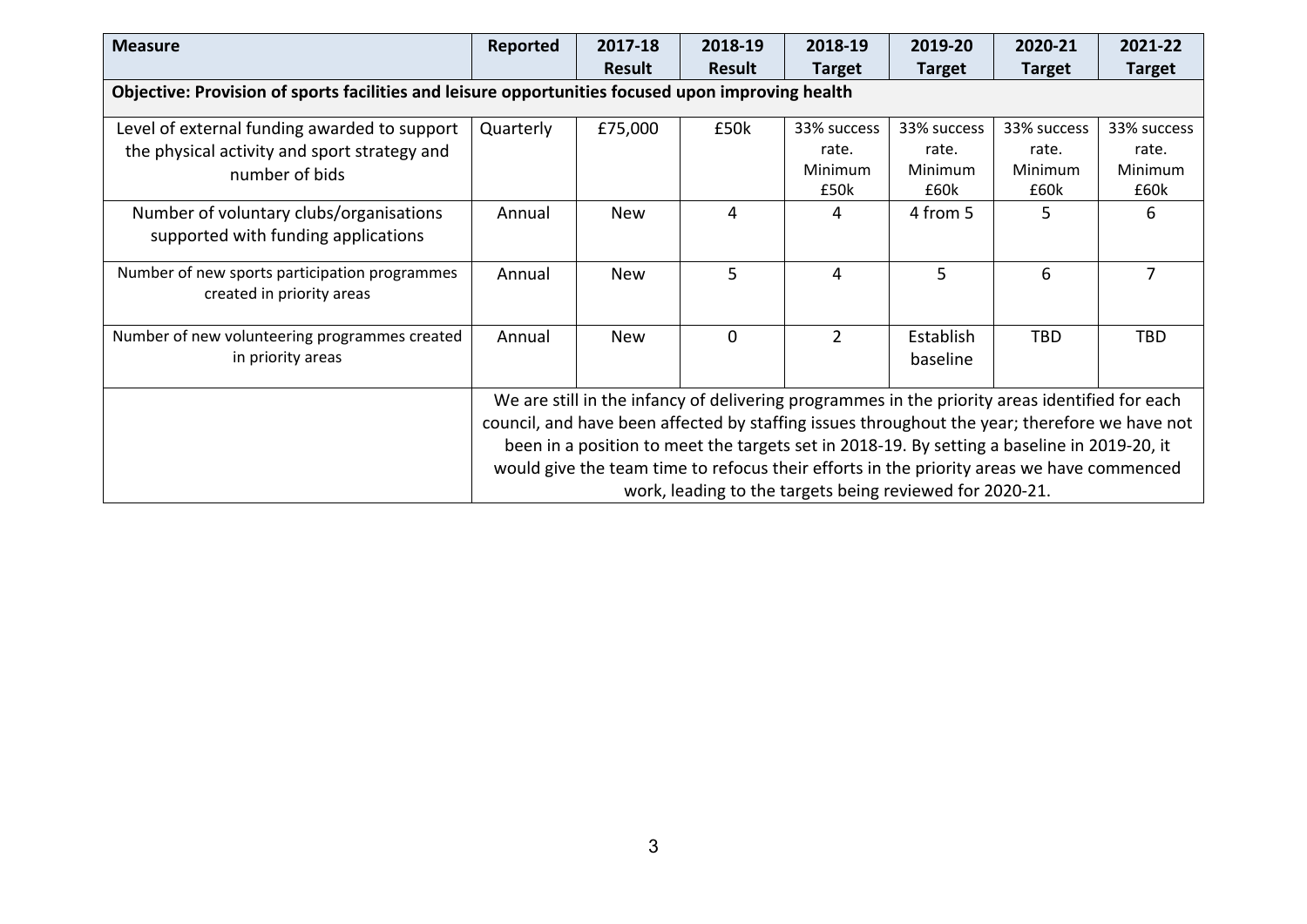| <b>Measure</b>                                                                                    | Reported  | 2017-18<br><b>Result</b> | 2018-19<br><b>Result</b> | 2018-19<br><b>Target</b>                                                                       | 2019-20<br><b>Target</b> | 2020-21<br><b>Target</b> | 2021-22<br><b>Target</b> |
|---------------------------------------------------------------------------------------------------|-----------|--------------------------|--------------------------|------------------------------------------------------------------------------------------------|--------------------------|--------------------------|--------------------------|
| Objective: Provision of sports facilities and leisure opportunities focused upon improving health |           |                          |                          |                                                                                                |                          |                          |                          |
| Level of external funding awarded to support                                                      | Quarterly | £75,000                  | £50k                     | 33% success                                                                                    | 33% success              | 33% success              | 33% success              |
| the physical activity and sport strategy and                                                      |           |                          |                          | rate.                                                                                          | rate.                    | rate.                    | rate.                    |
| number of bids                                                                                    |           |                          |                          | Minimum                                                                                        | Minimum                  | Minimum                  | Minimum                  |
|                                                                                                   |           |                          |                          | £50k                                                                                           | £60k                     | £60k                     | £60k                     |
| Number of voluntary clubs/organisations                                                           | Annual    | <b>New</b>               | 4                        | 4                                                                                              | 4 from 5                 | 5                        | 6                        |
| supported with funding applications                                                               |           |                          |                          |                                                                                                |                          |                          |                          |
| Number of new sports participation programmes<br>created in priority areas                        | Annual    | <b>New</b>               | 5                        | 4                                                                                              | 5                        | 6                        | 7                        |
| Number of new volunteering programmes created<br>in priority areas                                | Annual    | <b>New</b>               | $\Omega$                 | $\overline{2}$                                                                                 | Establish<br>baseline    | TBD                      | <b>TBD</b>               |
|                                                                                                   |           |                          |                          | We are still in the infancy of delivering programmes in the priority areas identified for each |                          |                          |                          |
|                                                                                                   |           |                          |                          | council, and have been affected by staffing issues throughout the year; therefore we have not  |                          |                          |                          |
|                                                                                                   |           |                          |                          | been in a position to meet the targets set in 2018-19. By setting a baseline in 2019-20, it    |                          |                          |                          |
|                                                                                                   |           |                          |                          | would give the team time to refocus their efforts in the priority areas we have commenced      |                          |                          |                          |
|                                                                                                   |           |                          |                          | work, leading to the targets being reviewed for 2020-21.                                       |                          |                          |                          |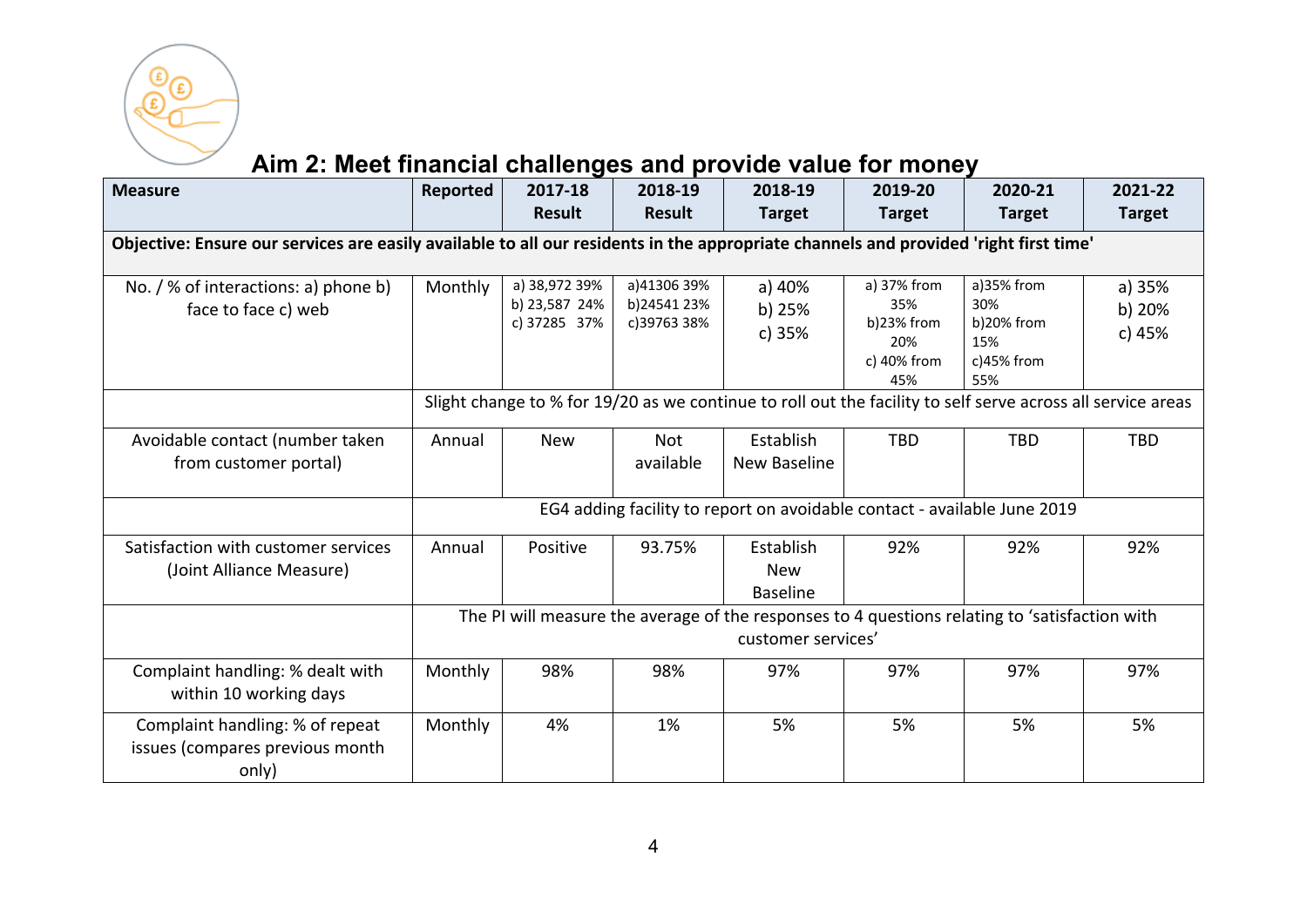

# **Aim 2: Meet financial challenges and provide value for money**

| <b>Measure</b>                                                                                                                       | Reported | 2017-18<br><b>Result</b>                       | 2018-19<br><b>Result</b>                  | 2018-19<br><b>Target</b>                                                                                             | 2019-20<br><b>Target</b>                                      | 2020-21<br><b>Target</b>                                        | 2021-22<br><b>Target</b>   |
|--------------------------------------------------------------------------------------------------------------------------------------|----------|------------------------------------------------|-------------------------------------------|----------------------------------------------------------------------------------------------------------------------|---------------------------------------------------------------|-----------------------------------------------------------------|----------------------------|
| Objective: Ensure our services are easily available to all our residents in the appropriate channels and provided 'right first time' |          |                                                |                                           |                                                                                                                      |                                                               |                                                                 |                            |
| No. / % of interactions: a) phone b)<br>face to face c) web                                                                          | Monthly  | a) 38,972 39%<br>b) 23,587 24%<br>c) 37285 37% | a)41306 39%<br>b)24541 23%<br>c)39763 38% | a) 40%<br>b) 25%<br>c) 35%                                                                                           | a) 37% from<br>35%<br>b)23% from<br>20%<br>c) 40% from<br>45% | a)35% from<br>30%<br>$b)20%$ from<br>15%<br>$c)45%$ from<br>55% | a) 35%<br>b) 20%<br>c) 45% |
|                                                                                                                                      |          |                                                |                                           | Slight change to % for 19/20 as we continue to roll out the facility to self serve across all service areas          |                                                               |                                                                 |                            |
| Avoidable contact (number taken<br>from customer portal)                                                                             | Annual   | <b>New</b>                                     | Not<br>available                          | Establish<br>New Baseline                                                                                            | <b>TBD</b>                                                    | <b>TBD</b>                                                      | <b>TBD</b>                 |
|                                                                                                                                      |          |                                                |                                           | EG4 adding facility to report on avoidable contact - available June 2019                                             |                                                               |                                                                 |                            |
| Satisfaction with customer services<br>(Joint Alliance Measure)                                                                      | Annual   | Positive                                       | 93.75%                                    | Establish<br><b>New</b><br><b>Baseline</b>                                                                           | 92%                                                           | 92%                                                             | 92%                        |
|                                                                                                                                      |          |                                                |                                           | The PI will measure the average of the responses to 4 questions relating to 'satisfaction with<br>customer services' |                                                               |                                                                 |                            |
| Complaint handling: % dealt with<br>within 10 working days                                                                           | Monthly  | 98%                                            | 98%                                       | 97%                                                                                                                  | 97%                                                           | 97%                                                             | 97%                        |
| Complaint handling: % of repeat<br>issues (compares previous month<br>only)                                                          | Monthly  | 4%                                             | 1%                                        | 5%                                                                                                                   | 5%                                                            | 5%                                                              | 5%                         |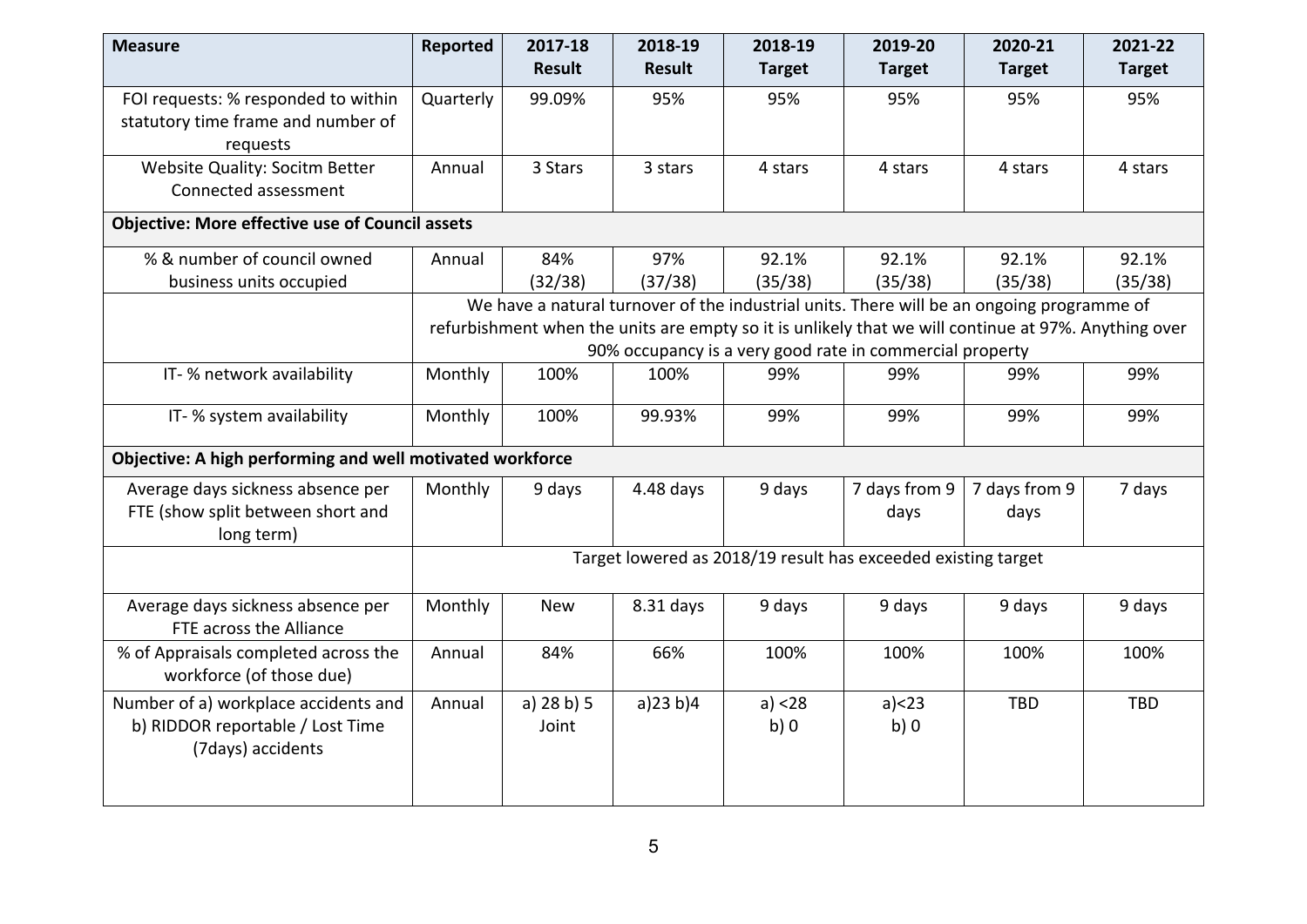| <b>Measure</b>                                                                                | Reported  | 2017-18                                                                                                                                                                                                                                                       | 2018-19        | 2018-19          | 2019-20                                                       | 2020-21               | 2021-22          |  |  |  |
|-----------------------------------------------------------------------------------------------|-----------|---------------------------------------------------------------------------------------------------------------------------------------------------------------------------------------------------------------------------------------------------------------|----------------|------------------|---------------------------------------------------------------|-----------------------|------------------|--|--|--|
|                                                                                               |           | <b>Result</b>                                                                                                                                                                                                                                                 | <b>Result</b>  | <b>Target</b>    | <b>Target</b>                                                 | <b>Target</b>         | <b>Target</b>    |  |  |  |
| FOI requests: % responded to within<br>statutory time frame and number of<br>requests         | Quarterly | 99.09%                                                                                                                                                                                                                                                        | 95%            | 95%              | 95%                                                           | 95%                   | 95%              |  |  |  |
| Website Quality: Socitm Better<br>Connected assessment                                        | Annual    | 3 Stars                                                                                                                                                                                                                                                       | 3 stars        | 4 stars          | 4 stars                                                       | 4 stars               | 4 stars          |  |  |  |
| <b>Objective: More effective use of Council assets</b>                                        |           |                                                                                                                                                                                                                                                               |                |                  |                                                               |                       |                  |  |  |  |
| % & number of council owned<br>business units occupied                                        | Annual    | 84%<br>(32/38)                                                                                                                                                                                                                                                | 97%<br>(37/38) | 92.1%<br>(35/38) | 92.1%<br>(35/38)                                              | 92.1%<br>(35/38)      | 92.1%<br>(35/38) |  |  |  |
|                                                                                               |           | We have a natural turnover of the industrial units. There will be an ongoing programme of<br>refurbishment when the units are empty so it is unlikely that we will continue at 97%. Anything over<br>90% occupancy is a very good rate in commercial property |                |                  |                                                               |                       |                  |  |  |  |
| IT-% network availability                                                                     | Monthly   | 100%                                                                                                                                                                                                                                                          | 100%           | 99%              | 99%                                                           | 99%                   | 99%              |  |  |  |
| IT- % system availability                                                                     | Monthly   | 100%                                                                                                                                                                                                                                                          | 99.93%         | 99%              | 99%                                                           | 99%                   | 99%              |  |  |  |
| Objective: A high performing and well motivated workforce                                     |           |                                                                                                                                                                                                                                                               |                |                  |                                                               |                       |                  |  |  |  |
| Average days sickness absence per<br>FTE (show split between short and<br>long term)          | Monthly   | 9 days                                                                                                                                                                                                                                                        | $4.48$ days    | 9 days           | 7 days from 9<br>days                                         | 7 days from 9<br>days | 7 days           |  |  |  |
|                                                                                               |           |                                                                                                                                                                                                                                                               |                |                  | Target lowered as 2018/19 result has exceeded existing target |                       |                  |  |  |  |
| Average days sickness absence per<br>FTE across the Alliance                                  | Monthly   | <b>New</b>                                                                                                                                                                                                                                                    | 8.31 days      | 9 days           | 9 days                                                        | 9 days                | 9 days           |  |  |  |
| % of Appraisals completed across the<br>workforce (of those due)                              | Annual    | 84%                                                                                                                                                                                                                                                           | 66%            | 100%             | 100%                                                          | 100%                  | 100%             |  |  |  |
| Number of a) workplace accidents and<br>b) RIDDOR reportable / Lost Time<br>(7days) accidents | Annual    | a) 28 b) 5<br>Joint                                                                                                                                                                                                                                           | a)23 b)4       | a) < 28<br>b)0   | a) < 23<br>b)0                                                | <b>TBD</b>            | <b>TBD</b>       |  |  |  |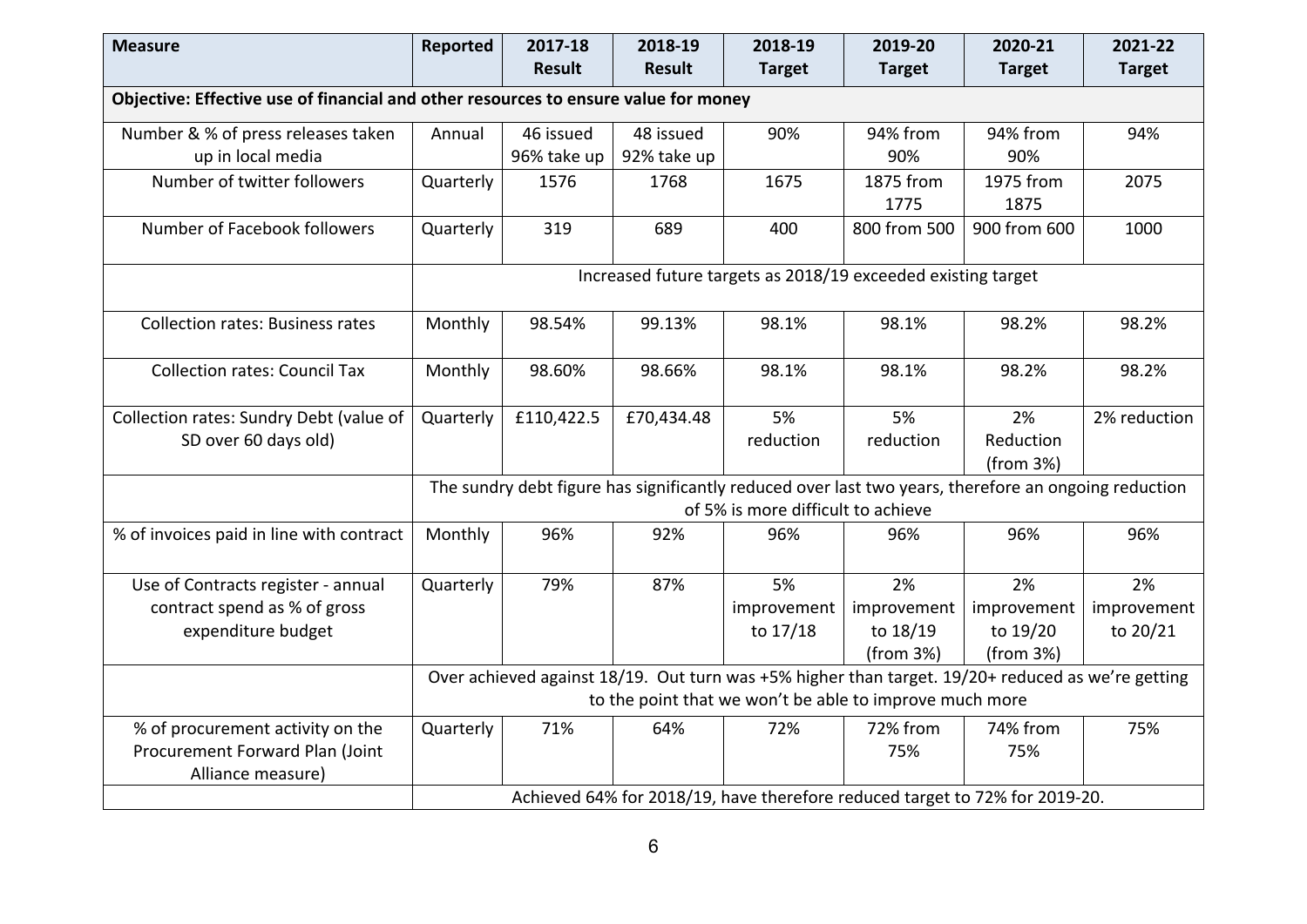| <b>Measure</b>                                                                      | <b>Reported</b> | 2017-18       | 2018-19       | 2018-19                                                                                              | 2019-20       | 2020-21       | 2021-22       |
|-------------------------------------------------------------------------------------|-----------------|---------------|---------------|------------------------------------------------------------------------------------------------------|---------------|---------------|---------------|
|                                                                                     |                 | <b>Result</b> | <b>Result</b> | <b>Target</b>                                                                                        | <b>Target</b> | <b>Target</b> | <b>Target</b> |
| Objective: Effective use of financial and other resources to ensure value for money |                 |               |               |                                                                                                      |               |               |               |
| Number & % of press releases taken                                                  | Annual          | 46 issued     | 48 issued     | 90%                                                                                                  | 94% from      | 94% from      | 94%           |
| up in local media                                                                   |                 | 96% take up   | 92% take up   |                                                                                                      | 90%           | 90%           |               |
| Number of twitter followers                                                         | Quarterly       | 1576          | 1768          | 1675                                                                                                 | 1875 from     | 1975 from     | 2075          |
|                                                                                     |                 |               |               |                                                                                                      | 1775          | 1875          |               |
| Number of Facebook followers                                                        | Quarterly       | 319           | 689           | 400                                                                                                  | 800 from 500  | 900 from 600  | 1000          |
|                                                                                     |                 |               |               | Increased future targets as 2018/19 exceeded existing target                                         |               |               |               |
|                                                                                     |                 |               |               |                                                                                                      |               |               |               |
| <b>Collection rates: Business rates</b>                                             | Monthly         | 98.54%        | 99.13%        | 98.1%                                                                                                | 98.1%         | 98.2%         | 98.2%         |
| <b>Collection rates: Council Tax</b>                                                | Monthly         | 98.60%        | 98.66%        | 98.1%                                                                                                | 98.1%         | 98.2%         | 98.2%         |
|                                                                                     |                 |               |               |                                                                                                      |               |               |               |
| Collection rates: Sundry Debt (value of                                             | Quarterly       | £110,422.5    | £70,434.48    | 5%                                                                                                   | 5%            | 2%            | 2% reduction  |
| SD over 60 days old)                                                                |                 |               |               | reduction                                                                                            | reduction     | Reduction     |               |
|                                                                                     |                 |               |               |                                                                                                      |               | (from 3%)     |               |
|                                                                                     |                 |               |               | The sundry debt figure has significantly reduced over last two years, therefore an ongoing reduction |               |               |               |
|                                                                                     |                 |               |               | of 5% is more difficult to achieve                                                                   |               |               |               |
| % of invoices paid in line with contract                                            | Monthly         | 96%           | 92%           | 96%                                                                                                  | 96%           | 96%           | 96%           |
|                                                                                     |                 |               |               |                                                                                                      |               |               |               |
| Use of Contracts register - annual                                                  | Quarterly       | 79%           | 87%           | 5%                                                                                                   | 2%            | 2%            | 2%            |
| contract spend as % of gross                                                        |                 |               |               | improvement                                                                                          | improvement   | improvement   | improvement   |
| expenditure budget                                                                  |                 |               |               | to 17/18                                                                                             | to 18/19      | to 19/20      | to 20/21      |
|                                                                                     |                 |               |               |                                                                                                      | (from 3%)     | (from 3%)     |               |
|                                                                                     |                 |               |               | Over achieved against 18/19. Out turn was +5% higher than target. 19/20+ reduced as we're getting    |               |               |               |
|                                                                                     |                 |               |               | to the point that we won't be able to improve much more                                              |               |               |               |
| % of procurement activity on the                                                    | Quarterly       | 71%           | 64%           | 72%                                                                                                  | 72% from      | 74% from      | 75%           |
| Procurement Forward Plan (Joint                                                     |                 |               |               |                                                                                                      | 75%           | 75%           |               |
| Alliance measure)                                                                   |                 |               |               |                                                                                                      |               |               |               |
|                                                                                     |                 |               |               | Achieved 64% for 2018/19, have therefore reduced target to 72% for 2019-20.                          |               |               |               |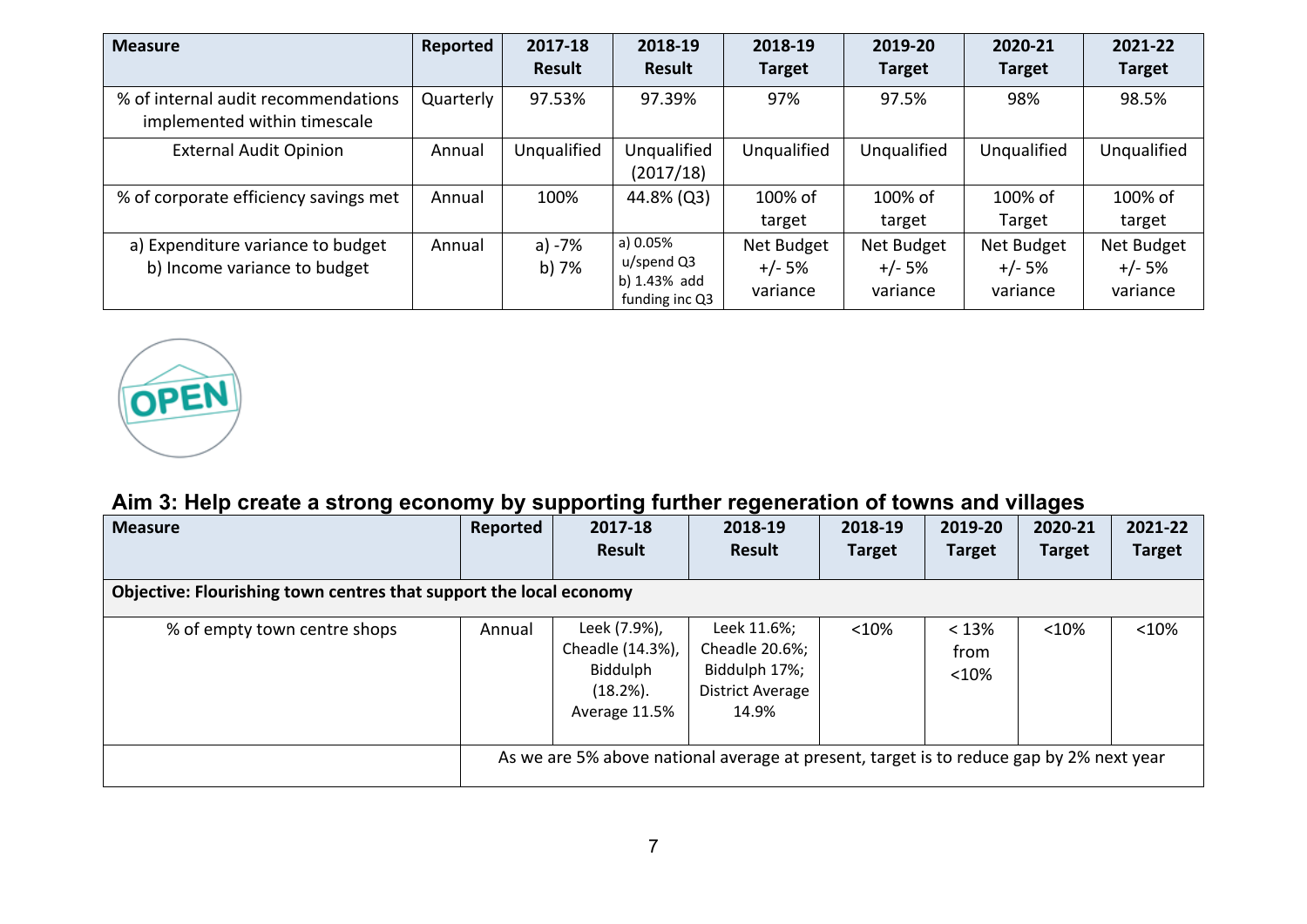| <b>Measure</b>                                                      | Reported  | 2017-18         | 2018-19                                                     | 2018-19                            | 2019-20                            | 2020-21                            | 2021-22                            |
|---------------------------------------------------------------------|-----------|-----------------|-------------------------------------------------------------|------------------------------------|------------------------------------|------------------------------------|------------------------------------|
|                                                                     |           | <b>Result</b>   | <b>Result</b>                                               | <b>Target</b>                      | <b>Target</b>                      | <b>Target</b>                      | <b>Target</b>                      |
| % of internal audit recommendations<br>implemented within timescale | Quarterly | 97.53%          | 97.39%                                                      | 97%                                | 97.5%                              | 98%                                | 98.5%                              |
| <b>External Audit Opinion</b>                                       | Annual    | Unqualified     | Unqualified<br>(2017/18)                                    | Unqualified                        | Unqualified                        | Unqualified                        | Unqualified                        |
| % of corporate efficiency savings met                               | Annual    | 100%            | 44.8% (Q3)                                                  | 100% of<br>target                  | 100% of<br>target                  | 100% of<br>Target                  | 100% of<br>target                  |
| a) Expenditure variance to budget<br>b) Income variance to budget   | Annual    | a) -7%<br>b) 7% | a) 0.05%<br>$u$ /spend Q3<br>b) 1.43% add<br>funding inc Q3 | Net Budget<br>$+/- 5%$<br>variance | Net Budget<br>$+/- 5%$<br>variance | Net Budget<br>$+/- 5%$<br>variance | Net Budget<br>$+/- 5%$<br>variance |



### **Aim 3: Help create a strong economy by supporting further regeneration of towns and villages**

| <b>Measure</b>                                                     | Reported | 2017-18                                                                                 | 2018-19                                                                            | 2018-19       | 2019-20                | 2020-21       | 2021-22       |
|--------------------------------------------------------------------|----------|-----------------------------------------------------------------------------------------|------------------------------------------------------------------------------------|---------------|------------------------|---------------|---------------|
|                                                                    |          | <b>Result</b>                                                                           | Result                                                                             | <b>Target</b> | <b>Target</b>          | <b>Target</b> | <b>Target</b> |
| Objective: Flourishing town centres that support the local economy |          |                                                                                         |                                                                                    |               |                        |               |               |
| % of empty town centre shops                                       | Annual   | Leek (7.9%),<br>Cheadle (14.3%),<br>Biddulph<br>$(18.2\%)$ .<br>Average 11.5%           | Leek 11.6%;<br>Cheadle 20.6%;<br>Biddulph 17%;<br><b>District Average</b><br>14.9% | < 10%         | < 13%<br>from<br>< 10% | < 10%         | < 10%         |
|                                                                    |          | As we are 5% above national average at present, target is to reduce gap by 2% next year |                                                                                    |               |                        |               |               |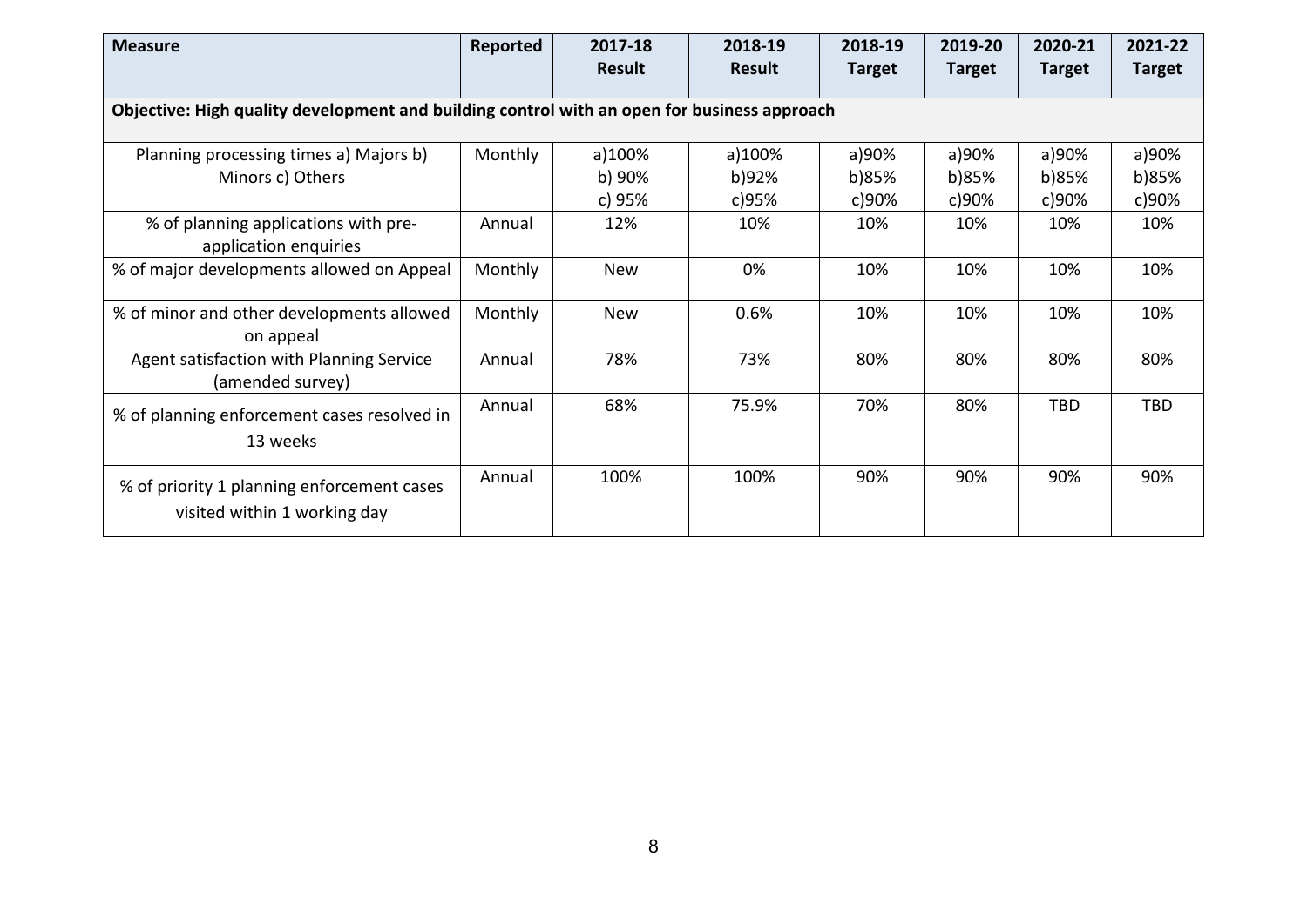| <b>Measure</b>                                                                              | Reported | 2017-18<br><b>Result</b>   | 2018-19<br><b>Result</b> | 2018-19<br><b>Target</b> | 2019-20<br><b>Target</b> | 2020-21<br><b>Target</b> | 2021-22<br><b>Target</b> |  |  |
|---------------------------------------------------------------------------------------------|----------|----------------------------|--------------------------|--------------------------|--------------------------|--------------------------|--------------------------|--|--|
| Objective: High quality development and building control with an open for business approach |          |                            |                          |                          |                          |                          |                          |  |  |
| Planning processing times a) Majors b)<br>Minors c) Others                                  | Monthly  | a)100%<br>b) 90%<br>c) 95% | a)100%<br>b)92%<br>c)95% | a)90%<br>b)85%<br>c)90%  | a)90%<br>b)85%<br>c)90%  | a)90%<br>b)85%<br>c)90%  | a)90%<br>b)85%<br>c)90%  |  |  |
| % of planning applications with pre-<br>application enquiries                               | Annual   | 12%                        | 10%                      | 10%                      | 10%                      | 10%                      | 10%                      |  |  |
| % of major developments allowed on Appeal                                                   | Monthly  | <b>New</b>                 | 0%                       | 10%                      | 10%                      | 10%                      | 10%                      |  |  |
| % of minor and other developments allowed<br>on appeal                                      | Monthly  | <b>New</b>                 | 0.6%                     | 10%                      | 10%                      | 10%                      | 10%                      |  |  |
| Agent satisfaction with Planning Service<br>(amended survey)                                | Annual   | 78%                        | 73%                      | 80%                      | 80%                      | 80%                      | 80%                      |  |  |
| % of planning enforcement cases resolved in<br>13 weeks                                     | Annual   | 68%                        | 75.9%                    | 70%                      | 80%                      | TBD                      | TBD                      |  |  |
| % of priority 1 planning enforcement cases<br>visited within 1 working day                  | Annual   | 100%                       | 100%                     | 90%                      | 90%                      | 90%                      | 90%                      |  |  |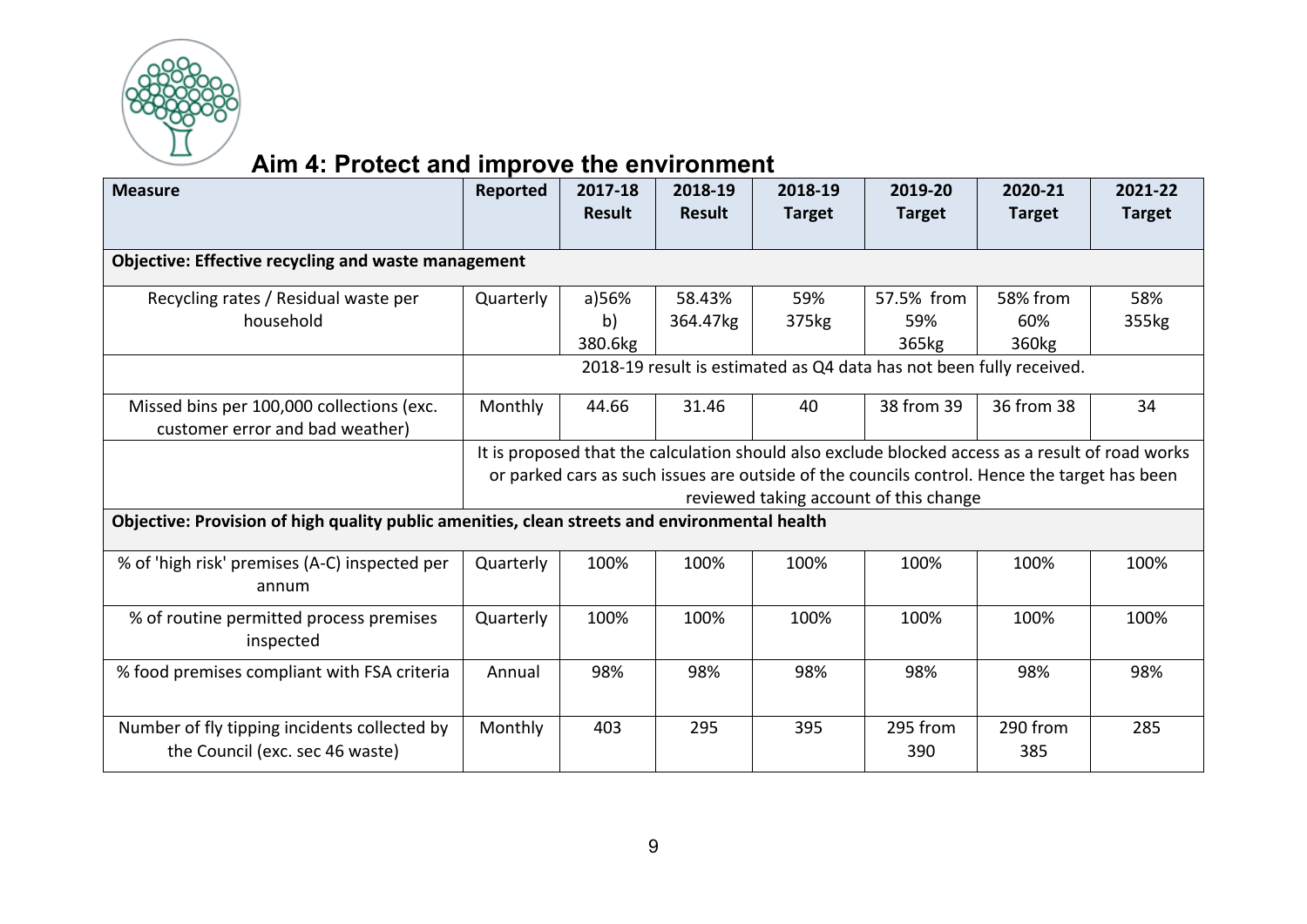

# **Aim 4: Protect and improve the environment**

| <b>Measure</b>                                                                                | Reported                                                                                         | 2017-18       | 2018-19       | 2018-19       | 2019-20                                                                                      | 2020-21           | 2021-22       |
|-----------------------------------------------------------------------------------------------|--------------------------------------------------------------------------------------------------|---------------|---------------|---------------|----------------------------------------------------------------------------------------------|-------------------|---------------|
|                                                                                               |                                                                                                  | <b>Result</b> | <b>Result</b> | <b>Target</b> | <b>Target</b>                                                                                | <b>Target</b>     | <b>Target</b> |
| <b>Objective: Effective recycling and waste management</b>                                    |                                                                                                  |               |               |               |                                                                                              |                   |               |
|                                                                                               |                                                                                                  |               |               |               |                                                                                              |                   |               |
| Recycling rates / Residual waste per                                                          | Quarterly                                                                                        | a)56%         | 58.43%        | 59%           | 57.5% from                                                                                   | 58% from          | 58%           |
| household                                                                                     |                                                                                                  | b)            | 364.47kg      | 375kg         | 59%                                                                                          | 60%               | 355kg         |
|                                                                                               |                                                                                                  | 380.6kg       |               |               | 365kg                                                                                        | 360 <sub>kg</sub> |               |
|                                                                                               |                                                                                                  |               |               |               | 2018-19 result is estimated as Q4 data has not been fully received.                          |                   |               |
| Missed bins per 100,000 collections (exc.<br>customer error and bad weather)                  | Monthly                                                                                          | 44.66         | 31.46         | 40            | 38 from 39                                                                                   | 36 from 38        | 34            |
|                                                                                               | It is proposed that the calculation should also exclude blocked access as a result of road works |               |               |               |                                                                                              |                   |               |
|                                                                                               |                                                                                                  |               |               |               | or parked cars as such issues are outside of the councils control. Hence the target has been |                   |               |
|                                                                                               |                                                                                                  |               |               |               | reviewed taking account of this change                                                       |                   |               |
| Objective: Provision of high quality public amenities, clean streets and environmental health |                                                                                                  |               |               |               |                                                                                              |                   |               |
| % of 'high risk' premises (A-C) inspected per<br>annum                                        | Quarterly                                                                                        | 100%          | 100%          | 100%          | 100%                                                                                         | 100%              | 100%          |
| % of routine permitted process premises<br>inspected                                          | Quarterly                                                                                        | 100%          | 100%          | 100%          | 100%                                                                                         | 100%              | 100%          |
| % food premises compliant with FSA criteria                                                   | Annual                                                                                           | 98%           | 98%           | 98%           | 98%                                                                                          | 98%               | 98%           |
| Number of fly tipping incidents collected by<br>the Council (exc. sec 46 waste)               | Monthly                                                                                          | 403           | 295           | 395           | 295 from<br>390                                                                              | 290 from<br>385   | 285           |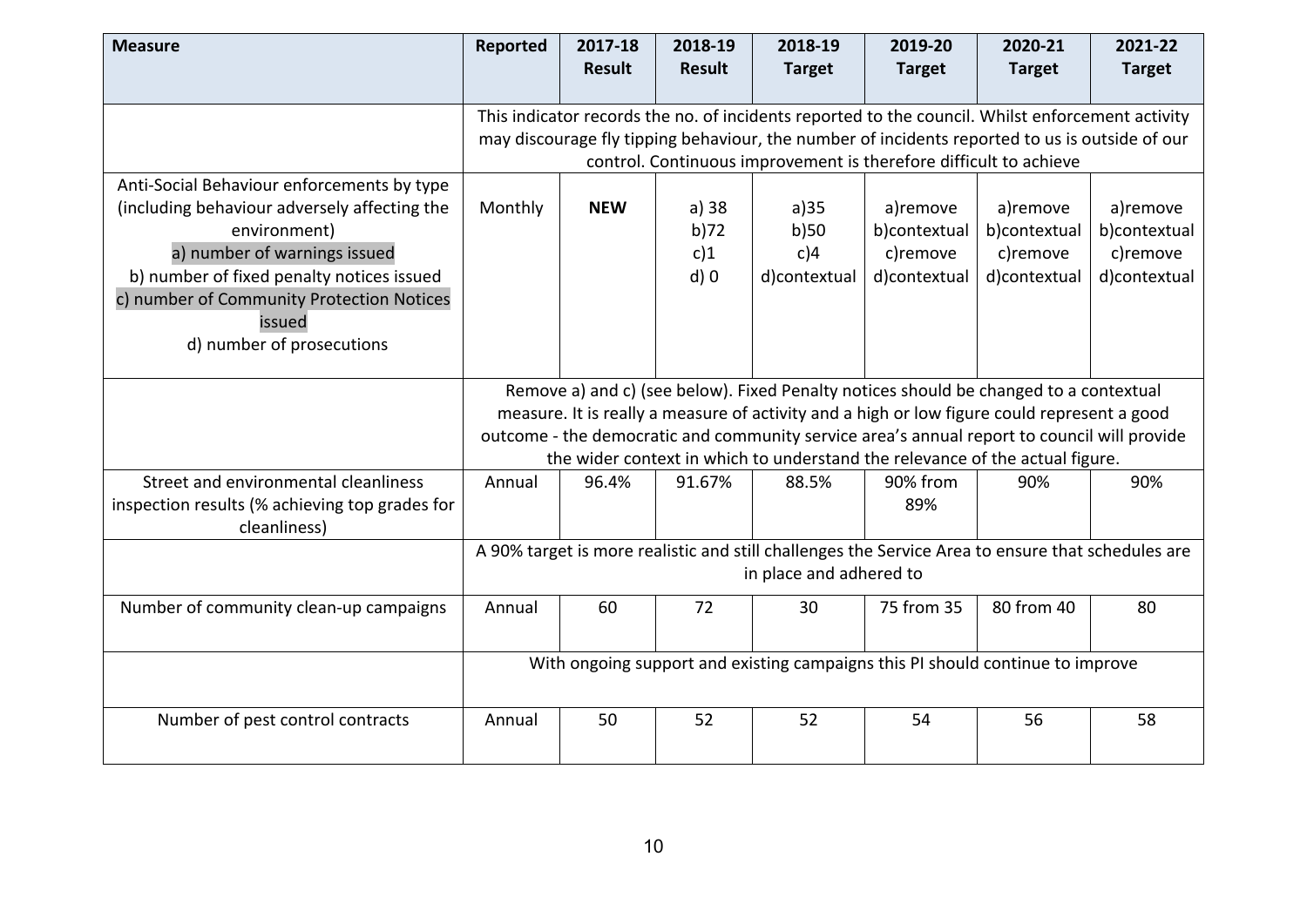| <b>Measure</b>                                                                                                                                                                                                                                                              | Reported                                                                                                                                                                                                                                                                                                                                                            | 2017-18<br><b>Result</b> | 2018-19<br><b>Result</b>        | 2018-19<br><b>Target</b>                                                                                                                                                                                                                                                | 2019-20<br><b>Target</b>                             | 2020-21<br><b>Target</b>                             | 2021-22<br><b>Target</b>                             |
|-----------------------------------------------------------------------------------------------------------------------------------------------------------------------------------------------------------------------------------------------------------------------------|---------------------------------------------------------------------------------------------------------------------------------------------------------------------------------------------------------------------------------------------------------------------------------------------------------------------------------------------------------------------|--------------------------|---------------------------------|-------------------------------------------------------------------------------------------------------------------------------------------------------------------------------------------------------------------------------------------------------------------------|------------------------------------------------------|------------------------------------------------------|------------------------------------------------------|
|                                                                                                                                                                                                                                                                             |                                                                                                                                                                                                                                                                                                                                                                     |                          |                                 | This indicator records the no. of incidents reported to the council. Whilst enforcement activity<br>may discourage fly tipping behaviour, the number of incidents reported to us is outside of our<br>control. Continuous improvement is therefore difficult to achieve |                                                      |                                                      |                                                      |
| Anti-Social Behaviour enforcements by type<br>(including behaviour adversely affecting the<br>environment)<br>a) number of warnings issued<br>b) number of fixed penalty notices issued<br>c) number of Community Protection Notices<br>issued<br>d) number of prosecutions | Monthly                                                                                                                                                                                                                                                                                                                                                             | <b>NEW</b>               | a) 38<br>b)72<br>c)1<br>$d$ ) 0 | a)35<br>b)50<br>c)4<br>d)contextual                                                                                                                                                                                                                                     | a)remove<br>b)contextual<br>c)remove<br>d)contextual | a)remove<br>b)contextual<br>c)remove<br>d)contextual | a)remove<br>b)contextual<br>c)remove<br>d)contextual |
|                                                                                                                                                                                                                                                                             | Remove a) and c) (see below). Fixed Penalty notices should be changed to a contextual<br>measure. It is really a measure of activity and a high or low figure could represent a good<br>outcome - the democratic and community service area's annual report to council will provide<br>the wider context in which to understand the relevance of the actual figure. |                          |                                 |                                                                                                                                                                                                                                                                         |                                                      |                                                      |                                                      |
| Street and environmental cleanliness<br>inspection results (% achieving top grades for<br>cleanliness)                                                                                                                                                                      | Annual                                                                                                                                                                                                                                                                                                                                                              | 96.4%                    | 91.67%                          | 88.5%                                                                                                                                                                                                                                                                   | 90% from<br>89%                                      | 90%                                                  | 90%                                                  |
|                                                                                                                                                                                                                                                                             |                                                                                                                                                                                                                                                                                                                                                                     |                          |                                 | A 90% target is more realistic and still challenges the Service Area to ensure that schedules are<br>in place and adhered to                                                                                                                                            |                                                      |                                                      |                                                      |
| Number of community clean-up campaigns                                                                                                                                                                                                                                      | Annual                                                                                                                                                                                                                                                                                                                                                              | 60                       | 72                              | 30                                                                                                                                                                                                                                                                      | 75 from 35                                           | 80 from 40                                           | 80                                                   |
|                                                                                                                                                                                                                                                                             |                                                                                                                                                                                                                                                                                                                                                                     |                          |                                 | With ongoing support and existing campaigns this PI should continue to improve                                                                                                                                                                                          |                                                      |                                                      |                                                      |
| Number of pest control contracts                                                                                                                                                                                                                                            | Annual                                                                                                                                                                                                                                                                                                                                                              | 50                       | 52                              | 52                                                                                                                                                                                                                                                                      | 54                                                   | 56                                                   | 58                                                   |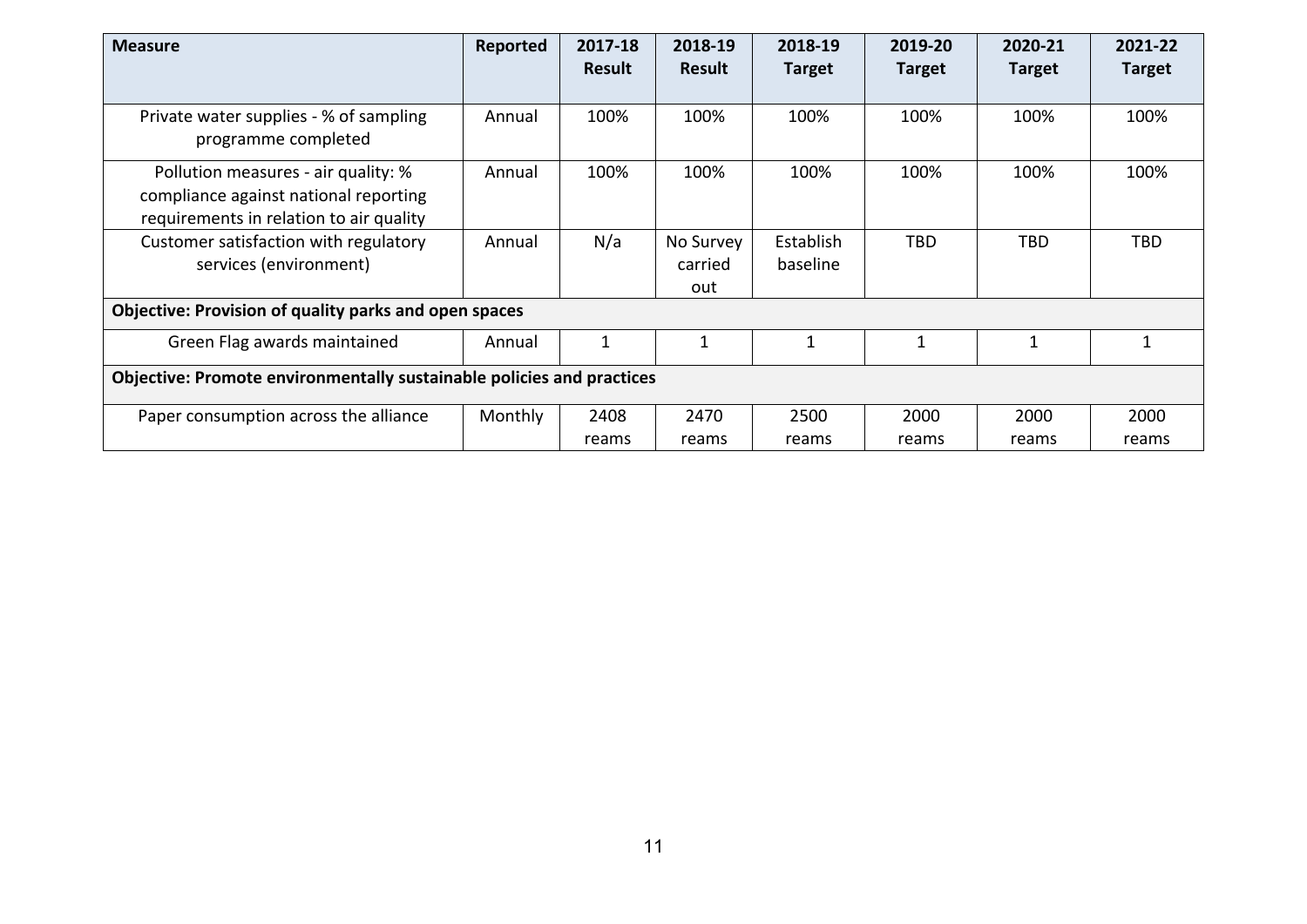| <b>Measure</b>                                                                                                          | Reported | 2017-18<br><b>Result</b> | 2018-19<br><b>Result</b>    | 2018-19<br><b>Target</b> | 2019-20<br><b>Target</b> | 2020-21<br><b>Target</b> | 2021-22<br><b>Target</b> |
|-------------------------------------------------------------------------------------------------------------------------|----------|--------------------------|-----------------------------|--------------------------|--------------------------|--------------------------|--------------------------|
| Private water supplies - % of sampling<br>programme completed                                                           | Annual   | 100%                     | 100%                        | 100%                     | 100%                     | 100%                     | 100%                     |
| Pollution measures - air quality: %<br>compliance against national reporting<br>requirements in relation to air quality | Annual   | 100%                     | 100%                        | 100%                     | 100%                     | 100%                     | 100%                     |
| Customer satisfaction with regulatory<br>services (environment)                                                         | Annual   | N/a                      | No Survey<br>carried<br>out | Establish<br>baseline    | TBD.                     | <b>TBD</b>               | TBD                      |
| Objective: Provision of quality parks and open spaces                                                                   |          |                          |                             |                          |                          |                          |                          |
| Green Flag awards maintained                                                                                            | Annual   | 1                        | $\mathbf{1}$                |                          | $\mathbf{1}$             |                          | 1                        |
| Objective: Promote environmentally sustainable policies and practices                                                   |          |                          |                             |                          |                          |                          |                          |
| Paper consumption across the alliance                                                                                   | Monthly  | 2408<br>reams            | 2470<br>reams               | 2500<br>reams            | 2000<br>reams            | 2000<br>reams            | 2000<br>reams            |
|                                                                                                                         |          |                          |                             |                          |                          |                          |                          |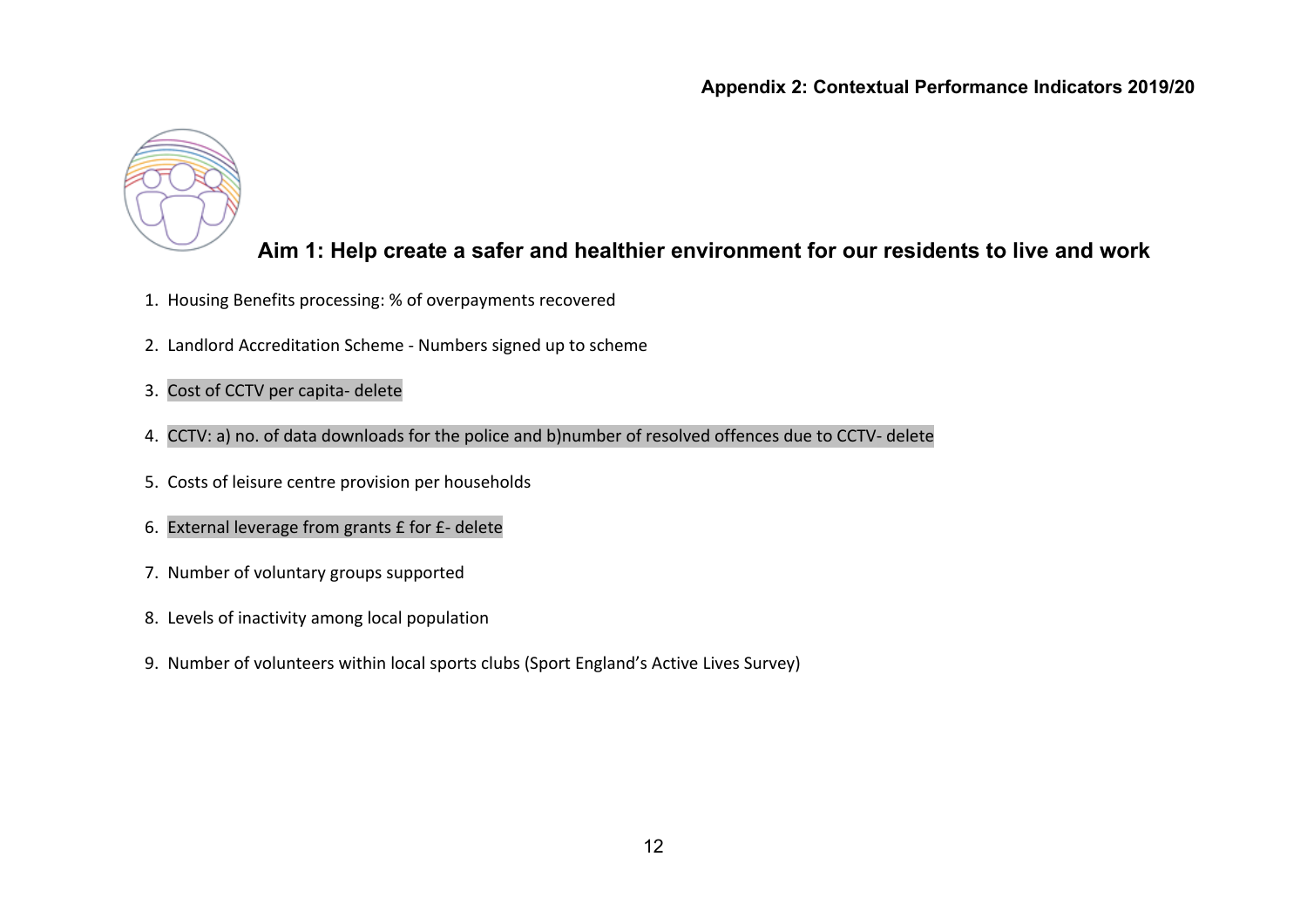

#### **Aim 1: Help create a safer and healthier environment for our residents to live and work**

- 1. Housing Benefits processing: % of overpayments recovered
- 2. Landlord Accreditation Scheme Numbers signed up to scheme
- 3. Cost of CCTV per capita- delete
- 4. CCTV: a) no. of data downloads for the police and b)number of resolved offences due to CCTV- delete
- 5. Costs of leisure centre provision per households
- 6. External leverage from grants £ for £- delete
- 7. Number of voluntary groups supported
- 8. Levels of inactivity among local population
- 9. Number of volunteers within local sports clubs (Sport England's Active Lives Survey)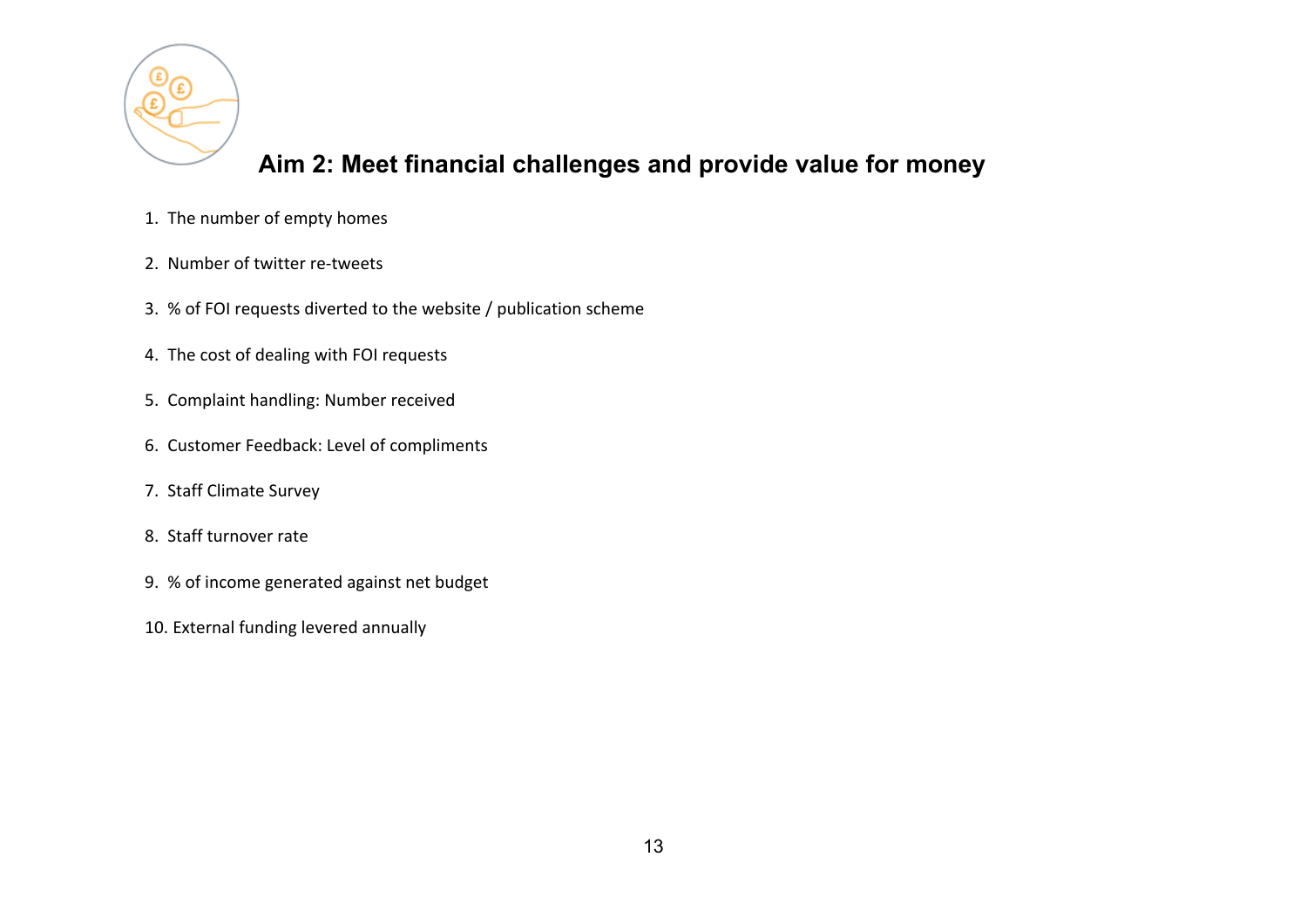

## **Aim 2: Meet financial challenges and provide value for money**

- 1. The number of empty homes
- 2. Number of twitter re-tweets
- 3. % of FOI requests diverted to the website / publication scheme
- 4. The cost of dealing with FOI requests
- 5. Complaint handling: Number received
- 6. Customer Feedback: Level of compliments
- 7. Staff Climate Survey
- 8. Staff turnover rate
- 9. % of income generated against net budget
- 10. External funding levered annually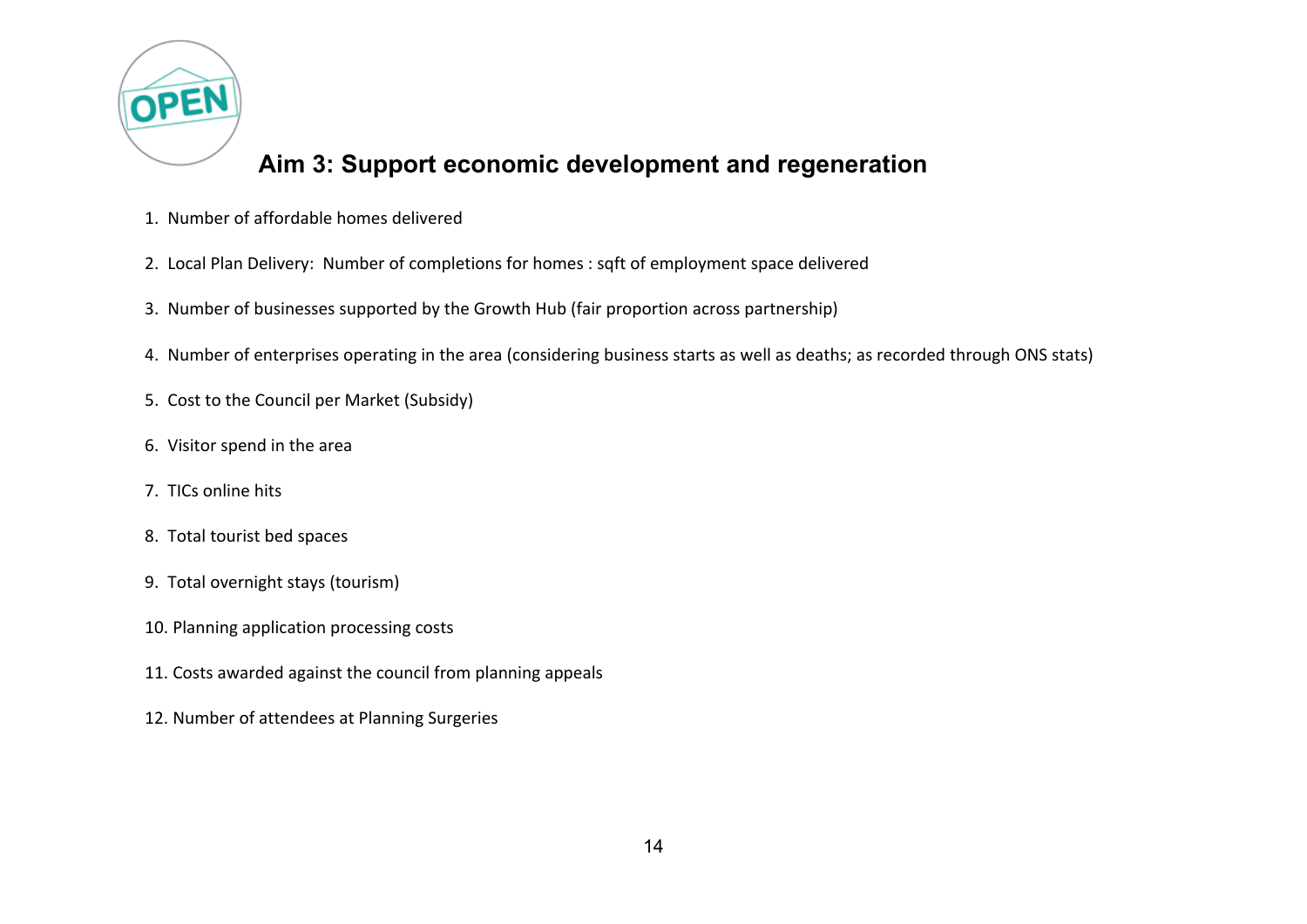

# **Aim 3: Support economic development and regeneration**

- 1. Number of affordable homes delivered
- 2. Local Plan Delivery: Number of completions for homes : sqft of employment space delivered
- 3. Number of businesses supported by the Growth Hub (fair proportion across partnership)
- 4. Number of enterprises operating in the area (considering business starts as well as deaths; as recorded through ONS stats)
- 5. Cost to the Council per Market (Subsidy)
- 6. Visitor spend in the area
- 7. TICs online hits
- 8. Total tourist bed spaces
- 9. Total overnight stays (tourism)
- 10. Planning application processing costs
- 11. Costs awarded against the council from planning appeals
- 12. Number of attendees at Planning Surgeries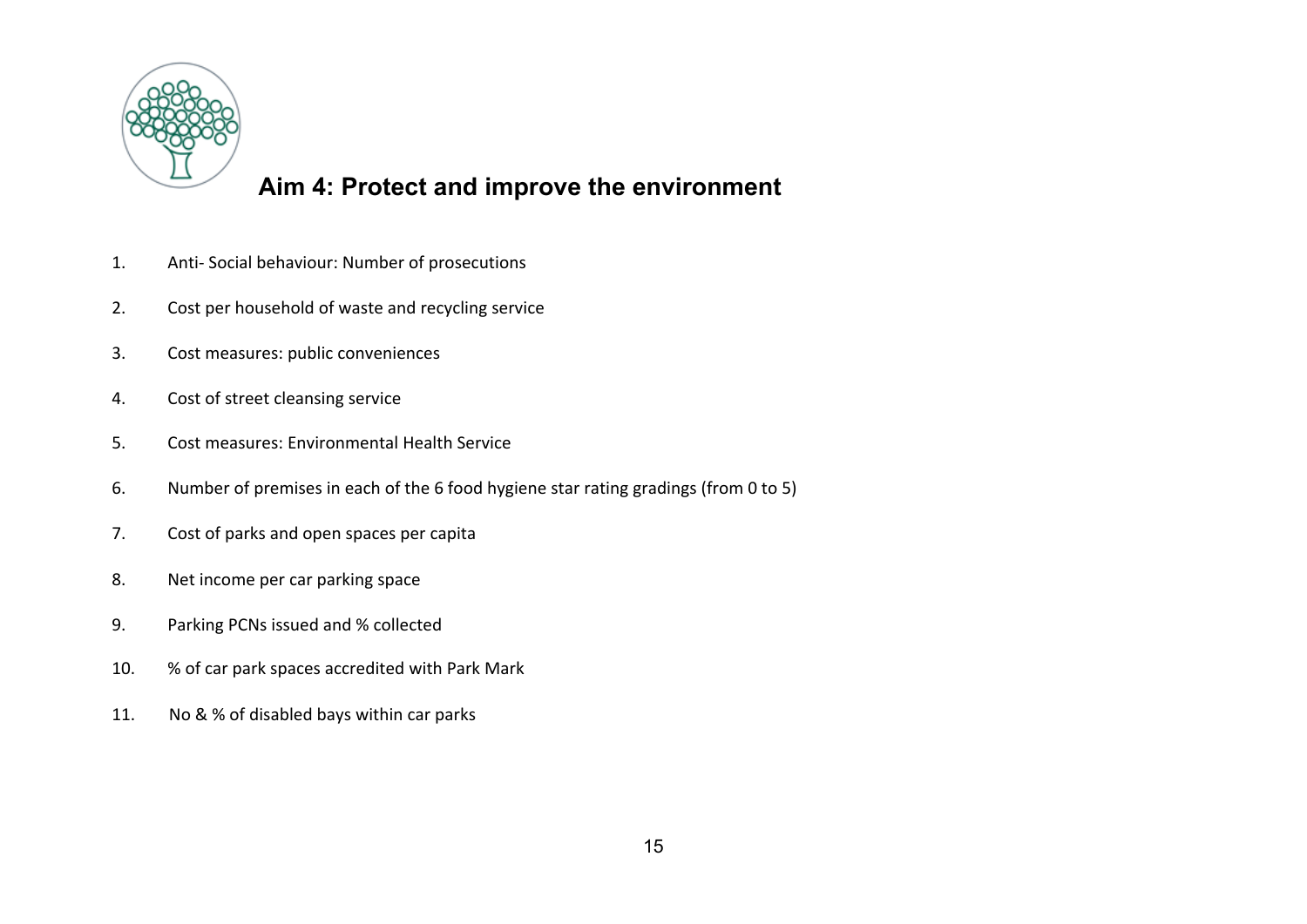

# **Aim 4: Protect and improve the environment**

- 1. Anti- Social behaviour: Number of prosecutions
- 2. Cost per household of waste and recycling service
- 3. Cost measures: public conveniences
- 4. Cost of street cleansing service
- 5. Cost measures: Environmental Health Service
- 6. Number of premises in each of the 6 food hygiene star rating gradings (from 0 to 5)
- 7. Cost of parks and open spaces per capita
- 8. Net income per car parking space
- 9. Parking PCNs issued and % collected
- 10. % of car park spaces accredited with Park Mark
- 11. No & % of disabled bays within car parks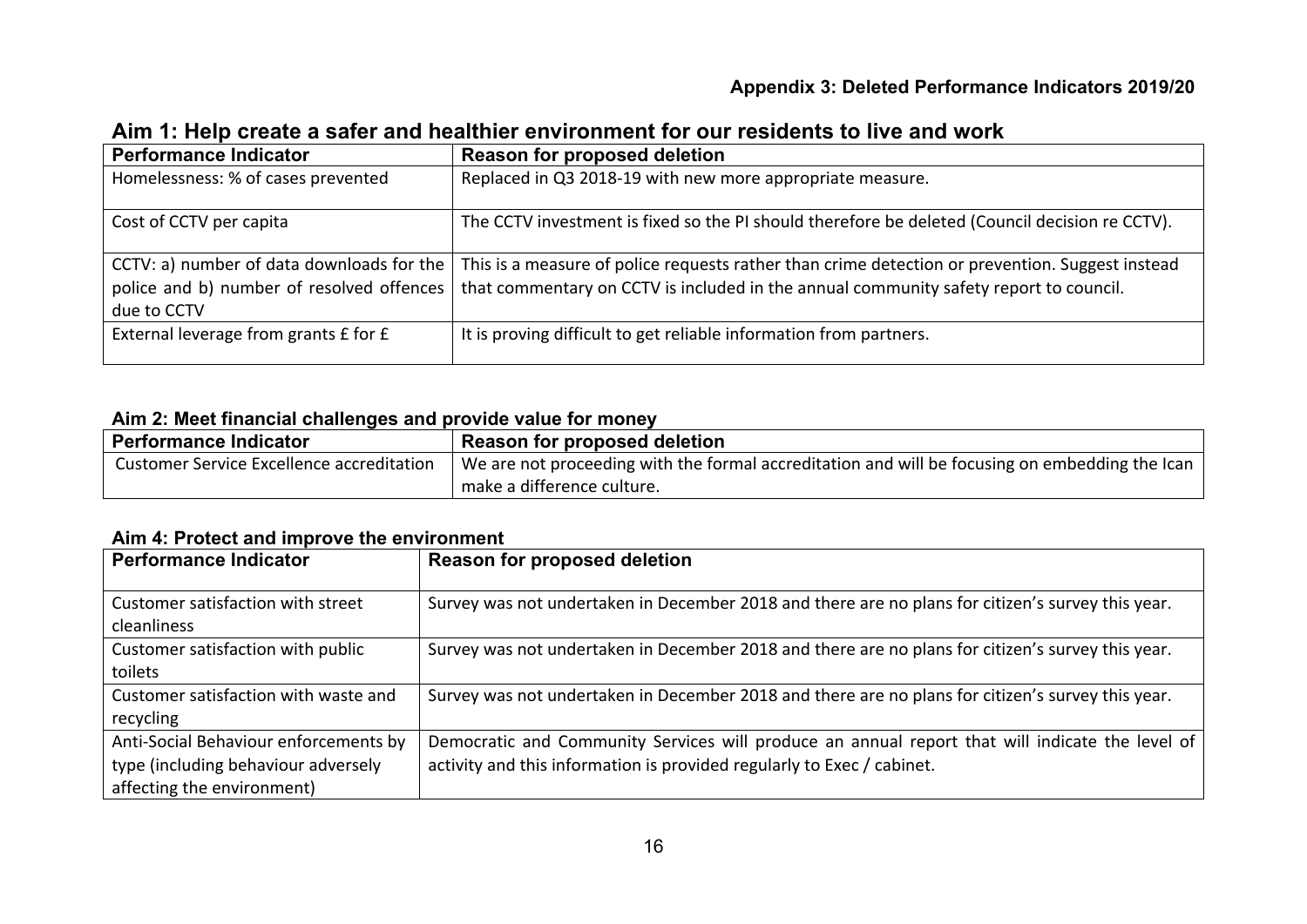#### **Appendix 3: Deleted Performance Indicators 2019/20**

| <b>Performance Indicator</b>                                                                          | <b>Reason for proposed deletion</b>                                                                                                                                                      |
|-------------------------------------------------------------------------------------------------------|------------------------------------------------------------------------------------------------------------------------------------------------------------------------------------------|
| Homelessness: % of cases prevented                                                                    | Replaced in Q3 2018-19 with new more appropriate measure.                                                                                                                                |
| Cost of CCTV per capita                                                                               | The CCTV investment is fixed so the PI should therefore be deleted (Council decision re CCTV).                                                                                           |
| CCTV: a) number of data downloads for the<br>police and b) number of resolved offences<br>due to CCTV | This is a measure of police requests rather than crime detection or prevention. Suggest instead<br>that commentary on CCTV is included in the annual community safety report to council. |
| External leverage from grants £ for £                                                                 | It is proving difficult to get reliable information from partners.                                                                                                                       |

#### **Aim 1: Help create a safer and healthier environment for our residents to live and work**

#### **Aim 2: Meet financial challenges and provide value for money**

| Performance Indicator                     | $^\circ$ Reason for proposed deletion                                                          |
|-------------------------------------------|------------------------------------------------------------------------------------------------|
| Customer Service Excellence accreditation | We are not proceeding with the formal accreditation and will be focusing on embedding the Ican |
|                                           | make a difference culture.                                                                     |

#### **Aim 4: Protect and improve the environment**

| <b>Performance Indicator</b>                                                                               | Reason for proposed deletion                                                                                                                                              |
|------------------------------------------------------------------------------------------------------------|---------------------------------------------------------------------------------------------------------------------------------------------------------------------------|
| Customer satisfaction with street<br>cleanliness                                                           | Survey was not undertaken in December 2018 and there are no plans for citizen's survey this year.                                                                         |
| Customer satisfaction with public<br>toilets                                                               | Survey was not undertaken in December 2018 and there are no plans for citizen's survey this year.                                                                         |
| Customer satisfaction with waste and<br>recycling                                                          | Survey was not undertaken in December 2018 and there are no plans for citizen's survey this year.                                                                         |
| Anti-Social Behaviour enforcements by<br>type (including behaviour adversely<br>affecting the environment) | Democratic and Community Services will produce an annual report that will indicate the level of<br>activity and this information is provided regularly to Exec / cabinet. |